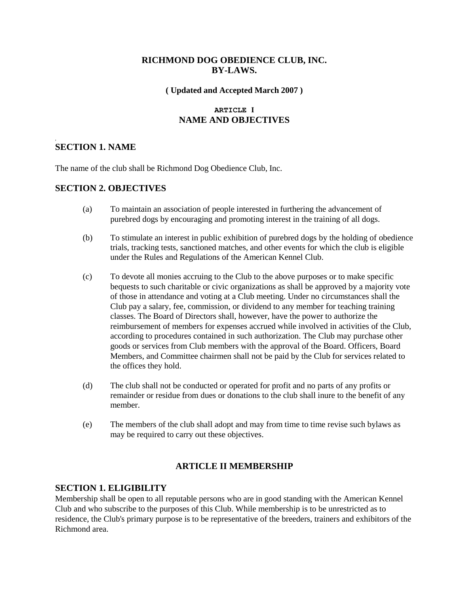# **RICHMOND DOG OBEDIENCE CLUB, INC. BY-LAWS.**

#### **( Updated and Accepted March 2007 )**

## **ARTICLE I NAME AND OBJECTIVES**

## **SECTION 1. NAME**

,

The name of the club shall be Richmond Dog Obedience Club, Inc.

#### **SECTION 2. OBJECTIVES**

- (a) To maintain an association of people interested in furthering the advancement of purebred dogs by encouraging and promoting interest in the training of all dogs.
- (b) To stimulate an interest in public exhibition of purebred dogs by the holding of obedience trials, tracking tests, sanctioned matches, and other events for which the club is eligible under the Rules and Regulations of the American Kennel Club.
- (c) To devote all monies accruing to the Club to the above purposes or to make specific bequests to such charitable or civic organizations as shall be approved by a majority vote of those in attendance and voting at a Club meeting. Under no circumstances shall the Club pay a salary, fee, commission, or dividend to any member for teaching training classes. The Board of Directors shall, however, have the power to authorize the reimbursement of members for expenses accrued while involved in activities of the Club, according to procedures contained in such authorization. The Club may purchase other goods or services from Club members with the approval of the Board. Officers, Board Members, and Committee chairmen shall not be paid by the Club for services related to the offices they hold.
- (d) The club shall not be conducted or operated for profit and no parts of any profits or remainder or residue from dues or donations to the club shall inure to the benefit of any member.
- (e) The members of the club shall adopt and may from time to time revise such bylaws as may be required to carry out these objectives.

## **ARTICLE II MEMBERSHIP**

#### **SECTION 1. ELIGIBILITY**

Membership shall be open to all reputable persons who are in good standing with the American Kennel Club and who subscribe to the purposes of this Club. While membership is to be unrestricted as to residence, the Club's primary purpose is to be representative of the breeders, trainers and exhibitors of the Richmond area.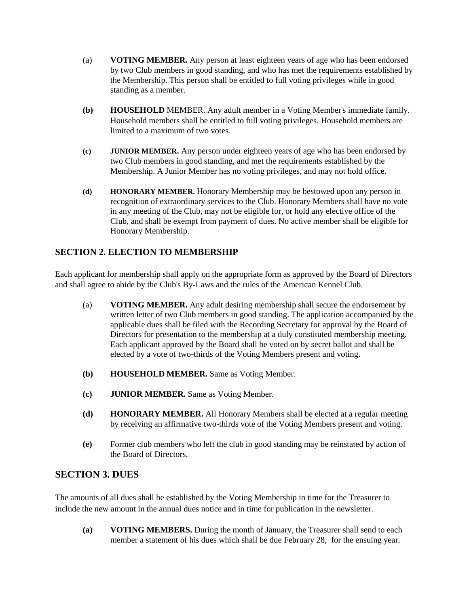- (a) **VOTING MEMBER.** Any person at least eighteen years of age who has been endorsed by two Club members in good standing, and who has met the requirements established by the Membership. This person shall be entitled to full voting privileges while in good standing as a member.
- **(b) HOUSEHOLD** MEMBER. Any adult member in a Voting Member's immediate family. Household members shall be entitled to full voting privileges. Household members are limited to a maximum of two votes.
- **(c) JUNIOR MEMBER.** Any person under eighteen years of age who has been endorsed by two Club members in good standing, and met the requirements established by the Membership. A Junior Member has no voting privileges, and may not hold office.
- **(d) HONORARY MEMBER.** Honorary Membership may be bestowed upon any person in recognition of extraordinary services to the Club. Honorary Members shall have no vote in any meeting of the Club, may not be eligible for, or hold any elective office of the Club, and shall be exempt from payment of dues. No active member shall be eligible for Honorary Membership.

# **SECTION 2. ELECTION TO MEMBERSHIP**

Each applicant for membership shall apply on the appropriate form as approved by the Board of Directors and shall agree to abide by the Club's By-Laws and the rules of the American Kennel Club.

- (a) **VOTING MEMBER.** Any adult desiring membership shall secure the endorsement by written letter of two Club members in good standing. The application accompanied by the applicable dues shall be filed with the Recording Secretary for approval by the Board of Directors for presentation to the membership at a duly constituted membership meeting. Each applicant approved by the Board shall be voted on by secret ballot and shall be elected by a vote of two-thirds of the Voting Members present and voting.
- **(b) HOUSEHOLD MEMBER.** Same as Voting Member.
- **(c) JUNIOR MEMBER.** Same as Voting Member.
- **(d) HONORARY MEMBER.** All Honorary Members shall be elected at a regular meeting by receiving an affirmative two-thirds vote of the Voting Members present and voting.
- **(e)** Former club members who left the club in good standing may be reinstated by action of the Board of Directors.

# **SECTION 3. DUES**

The amounts of all dues shall be established by the Voting Membership in time for the Treasurer to include the new amount in the annual dues notice and in time for publication in the newsletter.

**(a) VOTING MEMBERS.** During the month of January, the Treasurer shall send to each member a statement of his dues which shall be due February 28, for the ensuing year.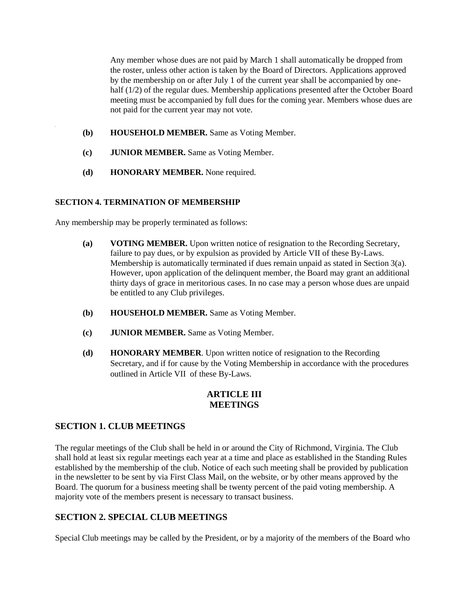Any member whose dues are not paid by March 1 shall automatically be dropped from the roster, unless other action is taken by the Board of Directors. Applications approved by the membership on or after July 1 of the current year shall be accompanied by onehalf (1/2) of the regular dues. Membership applications presented after the October Board meeting must be accompanied by full dues for the coming year. Members whose dues are not paid for the current year may not vote.

- **(b) HOUSEHOLD MEMBER.** Same as Voting Member.
- **(c) JUNIOR MEMBER.** Same as Voting Member.
- **(d) HONORARY MEMBER.** None required.

#### **SECTION 4. TERMINATION OF MEMBERSHIP**

Any membership may be properly terminated as follows:

- **(a) VOTING MEMBER.** Upon written notice of resignation to the Recording Secretary, failure to pay dues, or by expulsion as provided by Article VII of these By-Laws. Membership is automatically terminated if dues remain unpaid as stated in Section 3(a). However, upon application of the delinquent member, the Board may grant an additional thirty days of grace in meritorious cases. In no case may a person whose dues are unpaid be entitled to any Club privileges.
- **(b) HOUSEHOLD MEMBER.** Same as Voting Member.
- **(c) JUNIOR MEMBER.** Same as Voting Member.
- **(d) HONORARY MEMBER**. Upon written notice of resignation to the Recording Secretary, and if for cause by the Voting Membership in accordance with the procedures outlined in Article VII of these By-Laws.

## **ARTICLE III MEETINGS**

## **SECTION 1. CLUB MEETINGS**

The regular meetings of the Club shall be held in or around the City of Richmond, Virginia. The Club shall hold at least six regular meetings each year at a time and place as established in the Standing Rules established by the membership of the club. Notice of each such meeting shall be provided by publication in the newsletter to be sent by via First Class Mail, on the website, or by other means approved by the Board. The quorum for a business meeting shall be twenty percent of the paid voting membership. A majority vote of the members present is necessary to transact business.

## **SECTION 2. SPECIAL CLUB MEETINGS**

Special Club meetings may be called by the President, or by a majority of the members of the Board who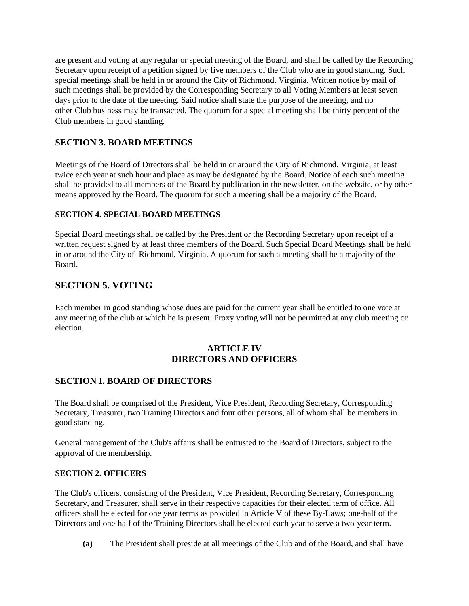are present and voting at any regular or special meeting of the Board, and shall be called by the Recording Secretary upon receipt of a petition signed by five members of the Club who are in good standing. Such special meetings shall be held in or around the City of Richmond. Virginia. Written notice by mail of such meetings shall be provided by the Corresponding Secretary to all Voting Members at least seven days prior to the date of the meeting. Said notice shall state the purpose of the meeting, and no other Club business may be transacted. The quorum for a special meeting shall be thirty percent of the Club members in good standing.

# **SECTION 3. BOARD MEETINGS**

Meetings of the Board of Directors shall be held in or around the City of Richmond, Virginia, at least twice each year at such hour and place as may be designated by the Board. Notice of each such meeting shall be provided to all members of the Board by publication in the newsletter, on the website, or by other means approved by the Board. The quorum for such a meeting shall be a majority of the Board.

# **SECTION 4. SPECIAL BOARD MEETINGS**

Special Board meetings shall be called by the President or the Recording Secretary upon receipt of a written request signed by at least three members of the Board. Such Special Board Meetings shall be held in or around the City of Richmond, Virginia. A quorum for such a meeting shall be a majority of the Board.

# **SECTION 5. VOTING**

Each member in good standing whose dues are paid for the current year shall be entitled to one vote at any meeting of the club at which he is present. Proxy voting will not be permitted at any club meeting or election.

# **ARTICLE IV DIRECTORS AND OFFICERS**

# **SECTION I. BOARD OF DIRECTORS**

The Board shall be comprised of the President, Vice President, Recording Secretary, Corresponding Secretary, Treasurer, two Training Directors and four other persons, all of whom shall be members in good standing.

General management of the Club's affairs shall be entrusted to the Board of Directors, subject to the approval of the membership.

## **SECTION 2. OFFICERS**

The Club's officers. consisting of the President, Vice President, Recording Secretary, Corresponding Secretary, and Treasurer, shall serve in their respective capacities for their elected term of office. All officers shall be elected for one year terms as provided in Article V of these By-Laws; one-half of the Directors and one-half of the Training Directors shall be elected each year to serve a two-year term.

**(a)** The President shall preside at all meetings of the Club and of the Board, and shall have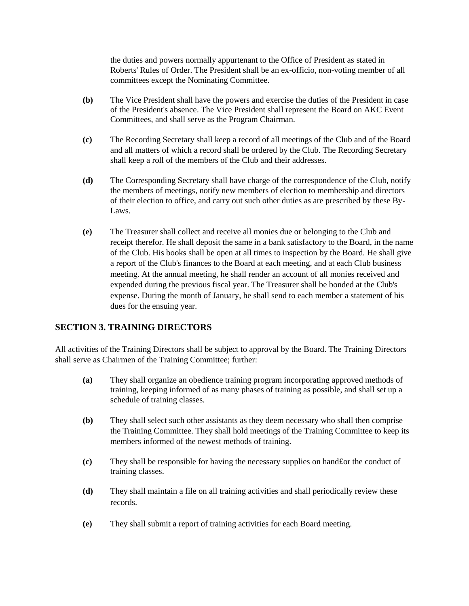the duties and powers normally appurtenant to the Office of President as stated in Roberts' Rules of Order. The President shall be an ex-officio, non-voting member of all committees except the Nominating Committee.

- **(b)** The Vice President shall have the powers and exercise the duties of the President in case of the President's absence. The Vice President shall represent the Board on AKC Event Committees, and shall serve as the Program Chairman.
- **(c)** The Recording Secretary shall keep a record of all meetings of the Club and of the Board and all matters of which a record shall be ordered by the Club. The Recording Secretary shall keep a roll of the members of the Club and their addresses.
- **(d)** The Corresponding Secretary shall have charge of the correspondence of the Club, notify the members of meetings, notify new members of election to membership and directors of their election to office, and carry out such other duties as are prescribed by these By-Laws.
- **(e)** The Treasurer shall collect and receive all monies due or belonging to the Club and receipt therefor. He shall deposit the same in a bank satisfactory to the Board, in the name of the Club. His books shall be open at all times to inspection by the Board. He shall give a report of the Club's finances to the Board at each meeting, and at each Club business meeting. At the annual meeting, he shall render an account of all monies received and expended during the previous fiscal year. The Treasurer shall be bonded at the Club's expense. During the month of January, he shall send to each member a statement of his dues for the ensuing year.

# **SECTION 3. TRAINING DIRECTORS**

All activities of the Training Directors shall be subject to approval by the Board. The Training Directors shall serve as Chairmen of the Training Committee; further:

- **(a)** They shall organize an obedience training program incorporating approved methods of training, keeping informed of as many phases of training as possible, and shall set up a schedule of training classes.
- **(b)** They shall select such other assistants as they deem necessary who shall then comprise the Training Committee. They shall hold meetings of the Training Committee to keep its members informed of the newest methods of training.
- **(c)** They shall be responsible for having the necessary supplies on hand£or the conduct of training classes.
- **(d)** They shall maintain a file on all training activities and shall periodically review these records.
- **(e)** They shall submit a report of training activities for each Board meeting.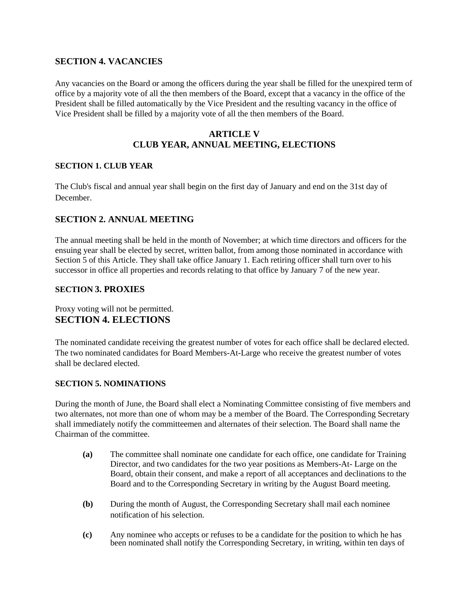# **SECTION 4. VACANCIES**

Any vacancies on the Board or among the officers during the year shall be filled for the unexpired term of office by a majority vote of all the then members of the Board, except that a vacancy in the office of the President shall be filled automatically by the Vice President and the resulting vacancy in the office of Vice President shall be filled by a majority vote of all the then members of the Board.

# **ARTICLE V CLUB YEAR, ANNUAL MEETING, ELECTIONS**

#### **SECTION 1. CLUB YEAR**

The Club's fiscal and annual year shall begin on the first day of January and end on the 31st day of December.

# **SECTION 2. ANNUAL MEETING**

The annual meeting shall be held in the month of November; at which time directors and officers for the ensuing year shall be elected by secret, written ballot, from among those nominated in accordance with Section 5 of this Article. They shall take office January 1. Each retiring officer shall turn over to his successor in office all properties and records relating to that office by January 7 of the new year.

#### **SECTION 3. PROXIES**

Proxy voting will not be permitted. **SECTION 4. ELECTIONS** 

The nominated candidate receiving the greatest number of votes for each office shall be declared elected. The two nominated candidates for Board Members-At-Large who receive the greatest number of votes shall be declared elected.

#### **SECTION 5. NOMINATIONS**

During the month of June, the Board shall elect a Nominating Committee consisting of five members and two alternates, not more than one of whom may be a member of the Board. The Corresponding Secretary shall immediately notify the committeemen and alternates of their selection. The Board shall name the Chairman of the committee.

- **(a)** The committee shall nominate one candidate for each office, one candidate for Training Director, and two candidates for the two year positions as Members-At- Large on the Board, obtain their consent, and make a report of all acceptances and declinations to the Board and to the Corresponding Secretary in writing by the August Board meeting.
- **(b)** During the month of August, the Corresponding Secretary shall mail each nominee notification of his selection.
- **(c)** Any nominee who accepts or refuses to be a candidate for the position to which he has been nominated shall notify the Corresponding Secretary, in writing, within ten days of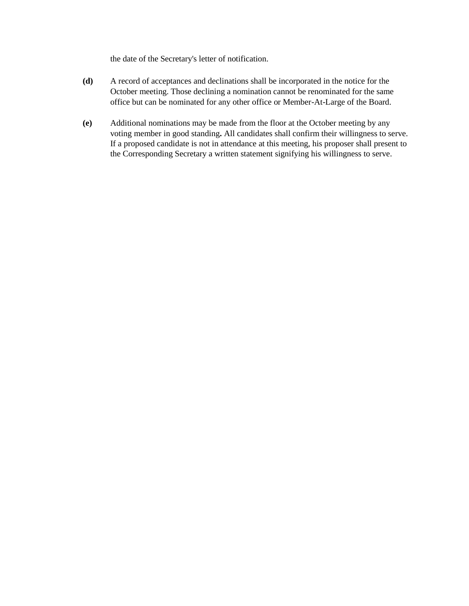the date of the Secretary's letter of notification.

- **(d)** A record of acceptances and declinations shall be incorporated in the notice for the October meeting. Those declining a nomination cannot be renominated for the same office but can be nominated for any other office or Member-At-Large of the Board.
- **(e)** Additional nominations may be made from the floor at the October meeting by any voting member in good standing**.** All candidates shall confirm their willingness to serve. If a proposed candidate is not in attendance at this meeting, his proposer shall present to the Corresponding Secretary a written statement signifying his willingness to serve.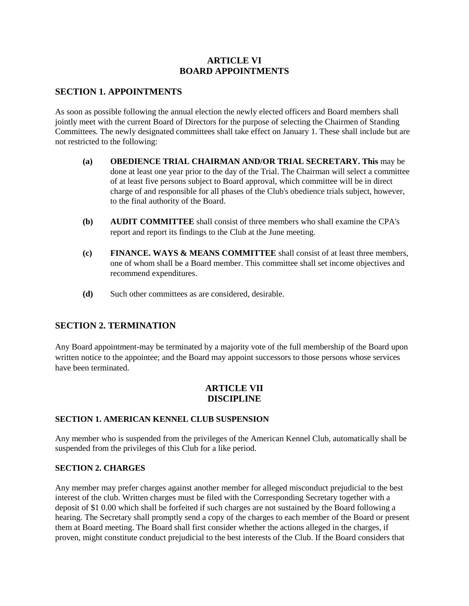# **ARTICLE VI BOARD APPOINTMENTS**

## **SECTION 1. APPOINTMENTS**

As soon as possible following the annual election the newly elected officers and Board members shall jointly meet with the current Board of Directors for the purpose of selecting the Chairmen of Standing Committees. The newly designated committees shall take effect on January 1. These shall include but are not restricted to the following:

- **(a) OBEDIENCE TRIAL CHAIRMAN AND/OR TRIAL SECRETARY. This** may be done at least one year prior to the day of the Trial. The Chairman will select a committee of at least five persons subject to Board approval, which committee will be in direct charge of and responsible for all phases of the Club's obedience trials subject, however, to the final authority of the Board.
- **(b) AUDIT COMMITTEE** shall consist of three members who shall examine the CPA's report and report its findings to the Club at the June meeting.
- **(c) FINANCE. WAYS & MEANS COMMITTEE** shall consist of at least three members, one of whom shall be a Board member. This committee shall set income objectives and recommend expenditures.
- **(d)** Such other committees as are considered, desirable.

# **SECTION 2. TERMINATION**

Any Board appointment-may be terminated by a majority vote of the full membership of the Board upon written notice to the appointee; and the Board may appoint successors to those persons whose services have been terminated.

## **ARTICLE VII DISCIPLINE**

## **SECTION 1. AMERICAN KENNEL CLUB SUSPENSION**

Any member who is suspended from the privileges of the American Kennel Club, automatically shall be suspended from the privileges of this Club for a like period.

## **SECTION 2. CHARGES**

Any member may prefer charges against another member for alleged misconduct prejudicial to the best interest of the club. Written charges must be filed with the Corresponding Secretary together with a deposit of \$1 0.00 which shall be forfeited if such charges are not sustained by the Board following a hearing. The Secretary shall promptly send a copy of the charges to each member of the Board or present them at Board meeting. The Board shall first consider whether the actions alleged in the charges, if proven, might constitute conduct prejudicial to the best interests of the Club. If the Board considers that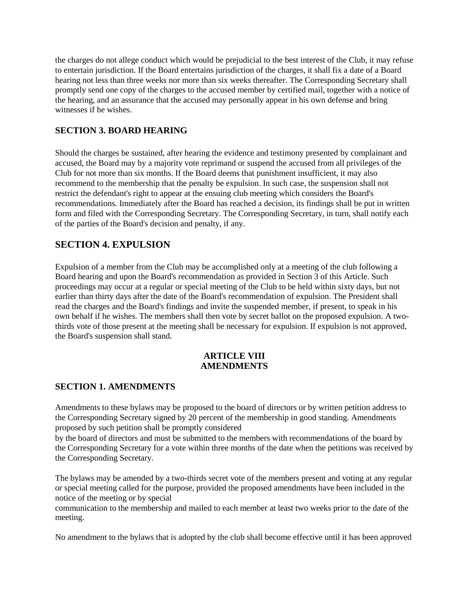the charges do not allege conduct which would be prejudicial to the best interest of the Club, it may refuse to entertain jurisdiction. If the Board entertains jurisdiction of the charges, it shall fix a date of a Board hearing not less than three weeks nor more than six weeks thereafter. The Corresponding Secretary shall promptly send one copy of the charges to the accused member by certified mail, together with a notice of the hearing, and an assurance that the accused may personally appear in his own defense and bring witnesses if he wishes.

# **SECTION 3. BOARD HEARING**

Should the charges be sustained, after hearing the evidence and testimony presented by complainant and accused, the Board may by a majority vote reprimand or suspend the accused from all privileges of the Club for not more than six months. If the Board deems that punishment insufficient, it may also recommend to the membership that the penalty be expulsion. In such case, the suspension shall not restrict the defendant's right to appear at the ensuing club meeting which considers the Board's recommendations. Immediately after the Board has reached a decision, its findings shall be put in written form and filed with the Corresponding Secretary. The Corresponding Secretary, in turn, shall notify each of the parties of the Board's decision and penalty, if any.

# **SECTION 4. EXPULSION**

Expulsion of a member from the Club may be accomplished only at a meeting of the club following a Board hearing and upon the Board's recommendation as provided in Section 3 of this Article. Such proceedings may occur at a regular or special meeting of the Club to be held within sixty days, but not earlier than thirty days after the date of the Board's recommendation of expulsion. The President shall read the charges and the Board's findings and invite the suspended member, if present, to speak in his own behalf if he wishes. The members shall then vote by secret ballot on the proposed expulsion. A twothirds vote of those present at the meeting shall be necessary for expulsion. If expulsion is not approved, the Board's suspension shall stand.

## **ARTICLE VIII AMENDMENTS**

## **SECTION 1. AMENDMENTS**

Amendments to these bylaws may be proposed to the board of directors or by written petition address to the Corresponding Secretary signed by 20 percent of the membership in good standing. Amendments proposed by such petition shall be promptly considered

by the board of directors and must be submitted to the members with recommendations of the board by the Corresponding Secretary for a vote within three months of the date when the petitions was received by the Corresponding Secretary.

The bylaws may be amended by a two-thirds secret vote of the members present and voting at any regular or special meeting called for the purpose, provided the proposed amendments have been included in the notice of the meeting or by special

communication to the membership and mailed to each member at least two weeks prior to the date of the meeting.

No amendment to the bylaws that is adopted by the club shall become effective until it has been approved